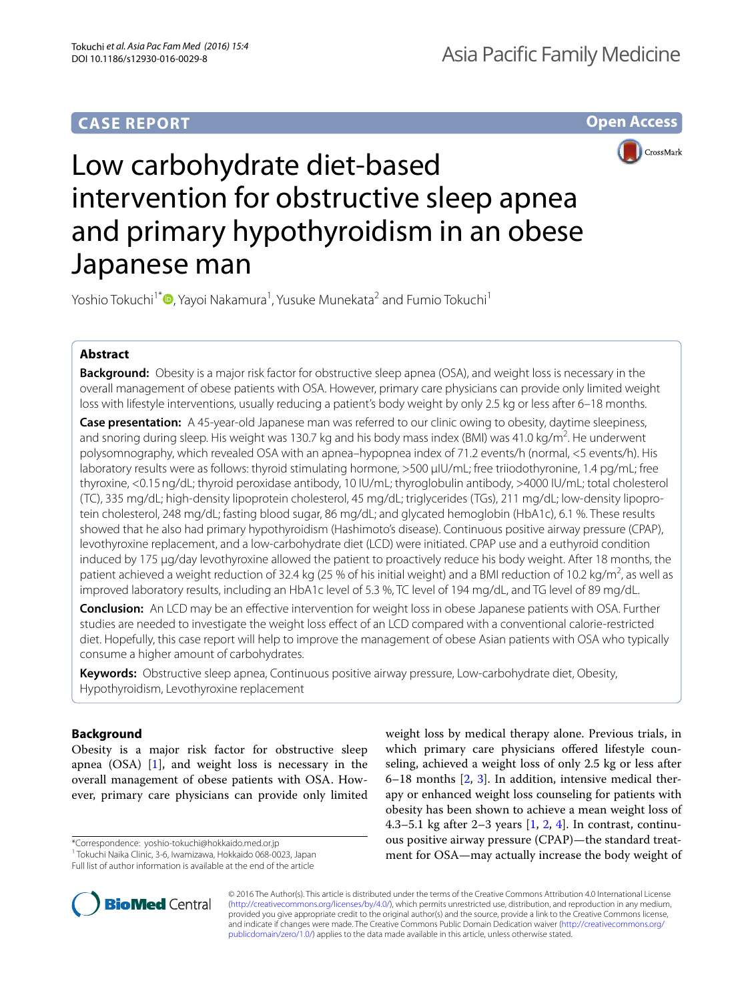# **CASE REPORT**

**Open Access**



# Low carbohydrate diet-based intervention for obstructive sleep apnea and primary hypothyroidism in an obese Japanese man

Yoshio Tokuchi<sup>1\*</sup> D[,](http://orcid.org/0000-0002-3404-4760) Yayoi Nakamura<sup>1</sup>, Yusuke Munekata<sup>2</sup> and Fumio Tokuchi<sup>1</sup>

# **Abstract**

**Background:** Obesity is a major risk factor for obstructive sleep apnea (OSA), and weight loss is necessary in the overall management of obese patients with OSA. However, primary care physicians can provide only limited weight loss with lifestyle interventions, usually reducing a patient's body weight by only 2.5 kg or less after 6–18 months.

**Case presentation:** A 45-year-old Japanese man was referred to our clinic owing to obesity, daytime sleepiness, and snoring during sleep. His weight was 130.7 kg and his body mass index (BMI) was 41.0 kg/m<sup>2</sup>. He underwent polysomnography, which revealed OSA with an apnea–hypopnea index of 71.2 events/h (normal, <5 events/h). His laboratory results were as follows: thyroid stimulating hormone, >500 μIU/mL; free triiodothyronine, 1.4 pg/mL; free thyroxine, <0.15ng/dL; thyroid peroxidase antibody, 10 IU/mL; thyroglobulin antibody, >4000 IU/mL; total cholesterol (TC), 335 mg/dL; high-density lipoprotein cholesterol, 45 mg/dL; triglycerides (TGs), 211 mg/dL; low-density lipoprotein cholesterol, 248 mg/dL; fasting blood sugar, 86 mg/dL; and glycated hemoglobin (HbA1c), 6.1 %. These results showed that he also had primary hypothyroidism (Hashimoto's disease). Continuous positive airway pressure (CPAP), levothyroxine replacement, and a low-carbohydrate diet (LCD) were initiated. CPAP use and a euthyroid condition induced by 175 μg/day levothyroxine allowed the patient to proactively reduce his body weight. After 18 months, the patient achieved a weight reduction of 32.4 kg (25 % of his initial weight) and a BMI reduction of 10.2 kg/m<sup>2</sup>, as well as improved laboratory results, including an HbA1c level of 5.3 %, TC level of 194 mg/dL, and TG level of 89 mg/dL.

**Conclusion:** An LCD may be an effective intervention for weight loss in obese Japanese patients with OSA. Further studies are needed to investigate the weight loss effect of an LCD compared with a conventional calorie-restricted diet. Hopefully, this case report will help to improve the management of obese Asian patients with OSA who typically consume a higher amount of carbohydrates.

**Keywords:** Obstructive sleep apnea, Continuous positive airway pressure, Low-carbohydrate diet, Obesity, Hypothyroidism, Levothyroxine replacement

# **Background**

Obesity is a major risk factor for obstructive sleep apnea (OSA) [\[1\]](#page-3-0), and weight loss is necessary in the overall management of obese patients with OSA. However, primary care physicians can provide only limited

\*Correspondence: yoshio-tokuchi@hokkaido.med.or.jp 1 <sup>1</sup> Tokuchi Naika Clinic, 3-6, Iwamizawa, Hokkaido 068-0023, Japan

Full list of author information is available at the end of the article

weight loss by medical therapy alone. Previous trials, in which primary care physicians offered lifestyle counseling, achieved a weight loss of only 2.5 kg or less after 6–18 months [[2](#page-3-1), [3](#page-3-2)]. In addition, intensive medical therapy or enhanced weight loss counseling for patients with obesity has been shown to achieve a mean weight loss of [4](#page-3-3).3–5.1 kg after 2–3 years  $\left[1, 2, 4\right]$  $\left[1, 2, 4\right]$  $\left[1, 2, 4\right]$  $\left[1, 2, 4\right]$  $\left[1, 2, 4\right]$ . In contrast, continuous positive airway pressure (CPAP)—the standard treatment for OSA—may actually increase the body weight of



© 2016 The Author(s). This article is distributed under the terms of the Creative Commons Attribution 4.0 International License [\(http://creativecommons.org/licenses/by/4.0/\)](http://creativecommons.org/licenses/by/4.0/), which permits unrestricted use, distribution, and reproduction in any medium, provided you give appropriate credit to the original author(s) and the source, provide a link to the Creative Commons license, and indicate if changes were made. The Creative Commons Public Domain Dedication waiver ([http://creativecommons.org/](http://creativecommons.org/publicdomain/zero/1.0/) [publicdomain/zero/1.0/](http://creativecommons.org/publicdomain/zero/1.0/)) applies to the data made available in this article, unless otherwise stated.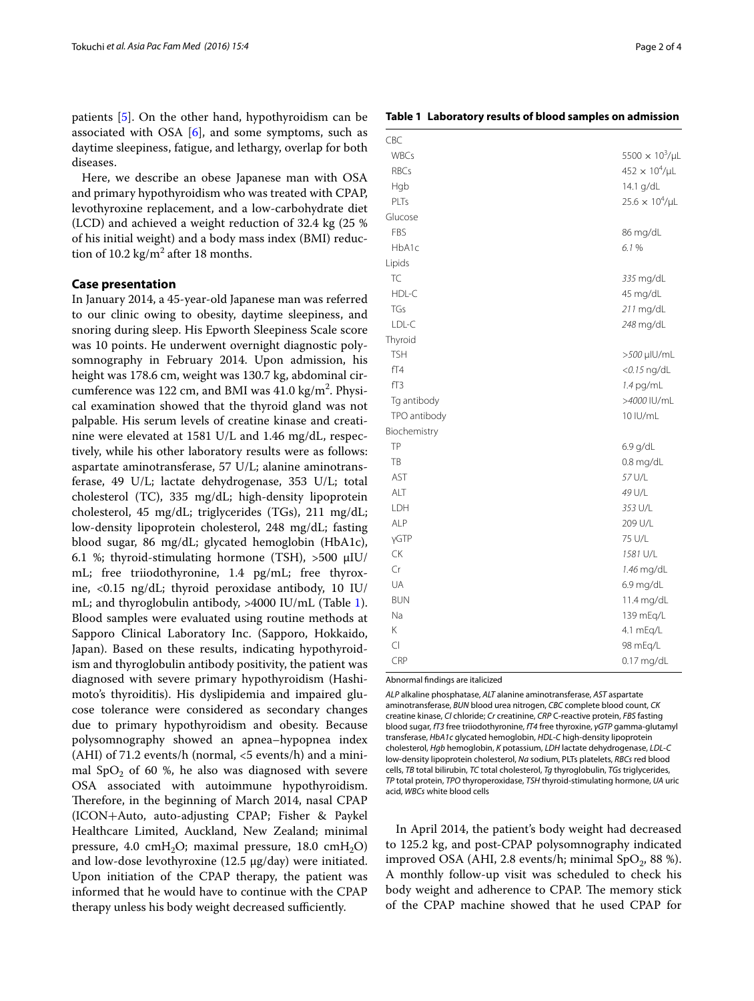patients [[5\]](#page-3-4). On the other hand, hypothyroidism can be associated with OSA  $[6]$  $[6]$ , and some symptoms, such as daytime sleepiness, fatigue, and lethargy, overlap for both diseases.

Here, we describe an obese Japanese man with OSA and primary hypothyroidism who was treated with CPAP, levothyroxine replacement, and a low-carbohydrate diet (LCD) and achieved a weight reduction of 32.4 kg (25 % of his initial weight) and a body mass index (BMI) reduction of 10.2 kg/m<sup>2</sup> after 18 months.

## **Case presentation**

In January 2014, a 45-year-old Japanese man was referred to our clinic owing to obesity, daytime sleepiness, and snoring during sleep. His Epworth Sleepiness Scale score was 10 points. He underwent overnight diagnostic polysomnography in February 2014. Upon admission, his height was 178.6 cm, weight was 130.7 kg, abdominal circumference was 122 cm, and BMI was  $41.0 \text{ kg/m}^2$ . Physical examination showed that the thyroid gland was not palpable. His serum levels of creatine kinase and creatinine were elevated at 1581 U/L and 1.46 mg/dL, respectively, while his other laboratory results were as follows: aspartate aminotransferase, 57 U/L; alanine aminotransferase, 49 U/L; lactate dehydrogenase, 353 U/L; total cholesterol (TC), 335 mg/dL; high-density lipoprotein cholesterol, 45 mg/dL; triglycerides (TGs), 211 mg/dL; low-density lipoprotein cholesterol, 248 mg/dL; fasting blood sugar, 86 mg/dL; glycated hemoglobin (HbA1c), 6.1 %; thyroid-stimulating hormone (TSH), >500 μIU/ mL; free triiodothyronine, 1.4 pg/mL; free thyroxine, <0.15 ng/dL; thyroid peroxidase antibody, 10 IU/ mL; and thyroglobulin antibody, >4000 IU/mL (Table [1](#page-1-0)). Blood samples were evaluated using routine methods at Sapporo Clinical Laboratory Inc. (Sapporo, Hokkaido, Japan). Based on these results, indicating hypothyroidism and thyroglobulin antibody positivity, the patient was diagnosed with severe primary hypothyroidism (Hashimoto's thyroiditis). His dyslipidemia and impaired glucose tolerance were considered as secondary changes due to primary hypothyroidism and obesity. Because polysomnography showed an apnea–hypopnea index (AHI) of 71.2 events/h (normal,  $\langle$  5 events/h) and a minimal SpO<sub>2</sub> of 60 %, he also was diagnosed with severe OSA associated with autoimmune hypothyroidism. Therefore, in the beginning of March 2014, nasal CPAP (ICON+Auto, auto-adjusting CPAP; Fisher & Paykel Healthcare Limited, Auckland, New Zealand; minimal pressure, 4.0  $cmH_2O$ ; maximal pressure, 18.0  $cmH_2O$ ) and low-dose levothyroxine (12.5 μg/day) were initiated. Upon initiation of the CPAP therapy, the patient was informed that he would have to continue with the CPAP therapy unless his body weight decreased sufficiently.

<span id="page-1-0"></span>**Table 1 Laboratory results of blood samples on admission**

| CBC          |                          |
|--------------|--------------------------|
| <b>WBCs</b>  | $5500 \times 10^3/\mu L$ |
| <b>RBCs</b>  | $452 \times 10^4/\mu L$  |
| Hgb          | 14.1 g/dL                |
| PLTs         | $25.6 \times 10^4/\mu L$ |
| Glucose      |                          |
| FBS          | 86 mg/dL                 |
| HbA1c        | 6.1%                     |
| Lipids       |                          |
| TC           | 335 mg/dL                |
| HDL-C        | 45 mg/dL                 |
| TGs          | 211 mg/dL                |
| LDL-C        | 248 mg/dL                |
| Thyroid      |                          |
| <b>TSH</b>   | >500 µlU/mL              |
| fT4          | $<$ 0.15 ng/dL           |
| fT3          | $1.4$ pg/mL              |
| Tg antibody  | >4000 IU/mL              |
| TPO antibody | 10 IU/mL                 |
| Biochemistry |                          |
| <b>TP</b>    | $6.9$ g/dL               |
| TB           | 0.8 mg/dL                |
| <b>AST</b>   | 57 U/L                   |
| ALT          | 49 U/L                   |
| LDH          | 353 U/L                  |
| <b>ALP</b>   | 209 U/L                  |
| γGTP         | 75 U/L                   |
| <b>CK</b>    | 1581 U/L                 |
| Cr           | 1.46 mg/dL               |
| UA           | 6.9 mg/dL                |
| <b>BUN</b>   | 11.4 mg/dL               |
| Na           | 139 mEq/L                |
| Κ            | 4.1 mEg/L                |
| $\subset$    | 98 mEq/L                 |
| CRP          | $0.17$ mg/dL             |

Abnormal findings are italicized

*ALP* alkaline phosphatase, *ALT* alanine aminotransferase, *AST* aspartate aminotransferase, *BUN* blood urea nitrogen, *CBC* complete blood count, *CK* creatine kinase, *Cl* chloride; *Cr* creatinine, *CRP* C-reactive protein, *FBS* fasting blood sugar, *fT3* free triiodothyronine, *fT4* free thyroxine, *γGTP* gamma-glutamyl transferase, *HbA1c* glycated hemoglobin, *HDL*-*C* high-density lipoprotein cholesterol, *Hgb* hemoglobin, *K* potassium, *LDH* lactate dehydrogenase, *LDL*-*C* low-density lipoprotein cholesterol, *Na* sodium, PLTs platelets, *RBCs* red blood cells, *TB* total bilirubin, *TC* total cholesterol, *Tg* thyroglobulin, *TGs* triglycerides, *TP* total protein, *TPO* thyroperoxidase, *TSH* thyroid-stimulating hormone, *UA* uric acid, *WBCs* white blood cells

In April 2014, the patient's body weight had decreased to 125.2 kg, and post-CPAP polysomnography indicated improved OSA (AHI, 2.8 events/h; minimal SpO $_2$ , 88 %). A monthly follow-up visit was scheduled to check his body weight and adherence to CPAP. The memory stick of the CPAP machine showed that he used CPAP for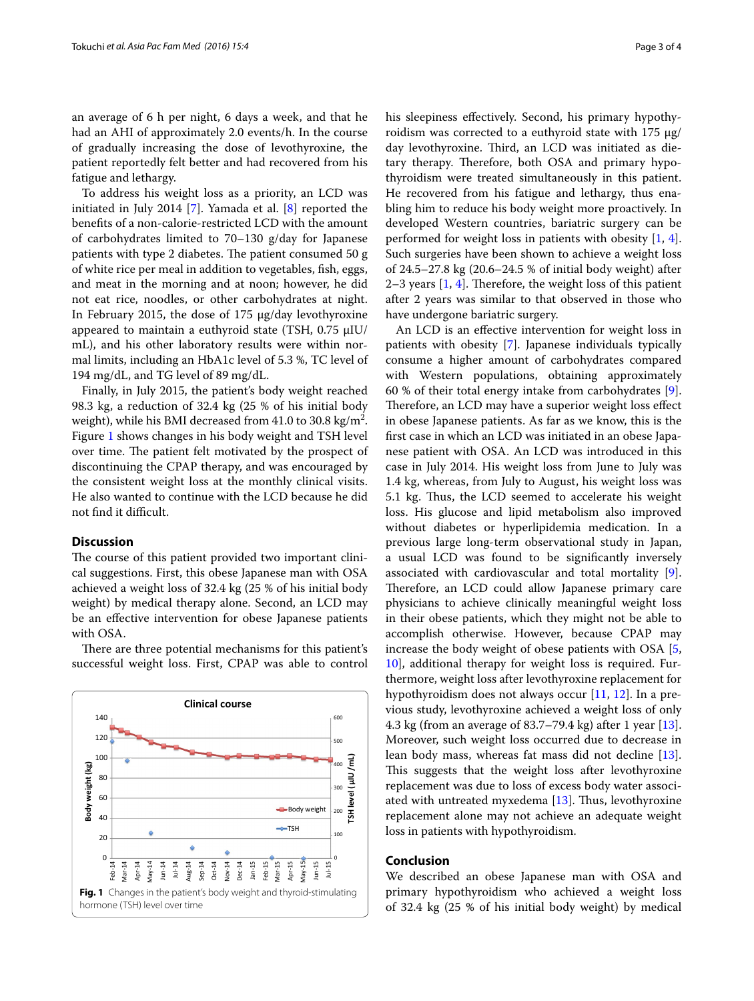an average of 6 h per night, 6 days a week, and that he had an AHI of approximately 2.0 events/h. In the course of gradually increasing the dose of levothyroxine, the patient reportedly felt better and had recovered from his fatigue and lethargy.

To address his weight loss as a priority, an LCD was initiated in July 2014 [[7](#page-3-6)]. Yamada et al. [[8\]](#page-3-7) reported the benefits of a non-calorie-restricted LCD with the amount of carbohydrates limited to 70–130 g/day for Japanese patients with type 2 diabetes. The patient consumed 50 g of white rice per meal in addition to vegetables, fish, eggs, and meat in the morning and at noon; however, he did not eat rice, noodles, or other carbohydrates at night. In February 2015, the dose of 175 μg/day levothyroxine appeared to maintain a euthyroid state (TSH, 0.75 μIU/ mL), and his other laboratory results were within normal limits, including an HbA1c level of 5.3 %, TC level of 194 mg/dL, and TG level of 89 mg/dL.

Finally, in July 2015, the patient's body weight reached 98.3 kg, a reduction of 32.4 kg (25 % of his initial body weight), while his BMI decreased from  $41.0$  to 30.8 kg/m<sup>2</sup>. Figure [1](#page-2-0) shows changes in his body weight and TSH level over time. The patient felt motivated by the prospect of discontinuing the CPAP therapy, and was encouraged by the consistent weight loss at the monthly clinical visits. He also wanted to continue with the LCD because he did not find it difficult.

## **Discussion**

The course of this patient provided two important clinical suggestions. First, this obese Japanese man with OSA achieved a weight loss of 32.4 kg (25 % of his initial body weight) by medical therapy alone. Second, an LCD may be an effective intervention for obese Japanese patients with OSA.

There are three potential mechanisms for this patient's successful weight loss. First, CPAP was able to control

<span id="page-2-0"></span>

his sleepiness effectively. Second, his primary hypothyroidism was corrected to a euthyroid state with 175 μg/ day levothyroxine. Third, an LCD was initiated as dietary therapy. Therefore, both OSA and primary hypothyroidism were treated simultaneously in this patient. He recovered from his fatigue and lethargy, thus enabling him to reduce his body weight more proactively. In developed Western countries, bariatric surgery can be performed for weight loss in patients with obesity [\[1,](#page-3-0) [4](#page-3-3)]. Such surgeries have been shown to achieve a weight loss of 24.5–27.8 kg (20.6–24.5 % of initial body weight) after 2–3 years [\[1](#page-3-0), [4\]](#page-3-3). Therefore, the weight loss of this patient after 2 years was similar to that observed in those who have undergone bariatric surgery.

An LCD is an effective intervention for weight loss in patients with obesity [[7\]](#page-3-6). Japanese individuals typically consume a higher amount of carbohydrates compared with Western populations, obtaining approximately 60 % of their total energy intake from carbohydrates [\[9](#page-3-8)]. Therefore, an LCD may have a superior weight loss effect in obese Japanese patients. As far as we know, this is the first case in which an LCD was initiated in an obese Japanese patient with OSA. An LCD was introduced in this case in July 2014. His weight loss from June to July was 1.4 kg, whereas, from July to August, his weight loss was 5.1 kg. Thus, the LCD seemed to accelerate his weight loss. His glucose and lipid metabolism also improved without diabetes or hyperlipidemia medication. In a previous large long-term observational study in Japan, a usual LCD was found to be significantly inversely associated with cardiovascular and total mortality [\[9](#page-3-8)]. Therefore, an LCD could allow Japanese primary care physicians to achieve clinically meaningful weight loss in their obese patients, which they might not be able to accomplish otherwise. However, because CPAP may increase the body weight of obese patients with OSA [\[5](#page-3-4), [10\]](#page-3-9), additional therapy for weight loss is required. Furthermore, weight loss after levothyroxine replacement for hypothyroidism does not always occur  $[11, 12]$  $[11, 12]$  $[11, 12]$  $[11, 12]$  $[11, 12]$ . In a previous study, levothyroxine achieved a weight loss of only 4.3 kg (from an average of 83.7–79.4 kg) after 1 year [\[13](#page-3-12)]. Moreover, such weight loss occurred due to decrease in lean body mass, whereas fat mass did not decline [\[13](#page-3-12)]. This suggests that the weight loss after levothyroxine replacement was due to loss of excess body water associated with untreated myxedema [\[13\]](#page-3-12). Thus, levothyroxine replacement alone may not achieve an adequate weight loss in patients with hypothyroidism.

## **Conclusion**

We described an obese Japanese man with OSA and primary hypothyroidism who achieved a weight loss of 32.4 kg (25 % of his initial body weight) by medical